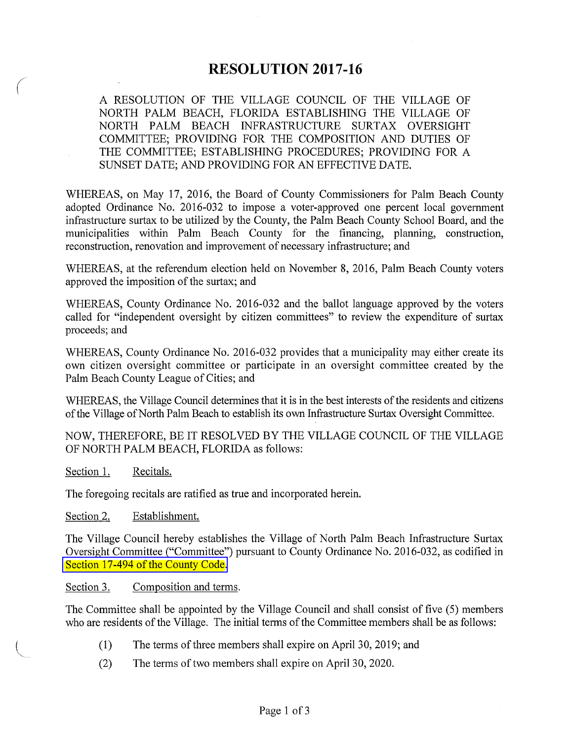# **RESOLUTION 2017-16**

A RESOLUTION OF THE VILLAGE COUNCIL OF THE VILLAGE OF NORTH PALM BEACH, FLORIDA ESTABLISHING THE VILLAGE OF NORTH PALM BEACH INFRASTRUCTURE SURTAX OVERSIGHT COMMITTEE; PROVIDING FOR THE COMPOSITION AND DUTIES OF THE COMMITTEE; ESTABLISHING PROCEDURES; PROVIDING FOR A SUNSET DATE; AND PROVIDING FOR AN EFFECTIVE DATE.

WHEREAS, on May 17, 2016, the Board of County Commissioners for Palm Beach County adopted Ordinance No. 2016-032 to impose a voter-approved one percent local government infrastructure surtax to be utilized by the County, the Palm Beach County School Board, and the municipalities within Palm Beach County for the financing, planning, construction, reconstruction, renovation and improvement of necessary infrastructure; and

WHEREAS, at the referendum election held on November 8, 2016, Palm Beach County voters approved the imposition of the surtax; and

WHEREAS, County Ordinance No. 2016-032 and the ballot language approved by the voters called for "independent oversight by citizen committees" to review the expenditure of surtax proceeds; and

WHEREAS, County Ordinance No. 2016-032 provides that a municipality may either create its own citizen oversight committee or participate in an oversight committee created by the Palm Beach County League of Cities; and

WHEREAS, the Village Council determines that it is in the best interests of the residents and citizens of the Village of North Palm Beach to establish its own Infrastructure Surtax Oversight Committee.

NOW, THEREFORE, BE IT RESOLVED BY THE VILLAGE COUNCIL OF THE VILLAGE OF NORTH PALM BEACH, FLORIDA as follows:

Section 1. Recitals.

 $\sqrt{2}$ 

The foregoing recitals are ratified as true and incorporated herein.

Section 2. Establishment.

The Village Council hereby establishes the Village of North Palm Beach Infrastructure Surtax Oversight Committee ("Committee") pursuant to County Ordinance No. 2016-032, as codified in Section 17-494 of the County Code.

## Section 3. Composition and terms.

The Committee shall be appointed by the Village Council and shall consist of five (5) members who are residents of the Village. The initial terms of the Committee members shall be as follows:

- (1) The terms of three members shall expire on April30, 2019; and
- (2) The terms of two members shall expire on April 30, 2020.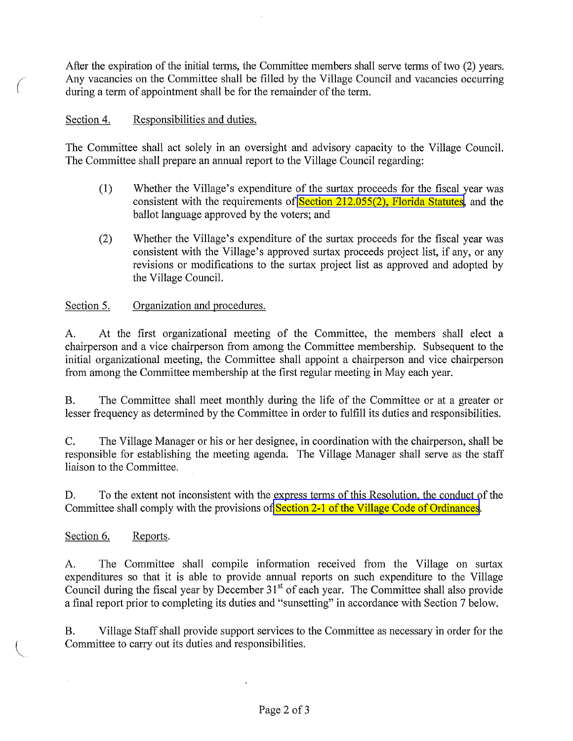After the expiration of the initial terms, the Committee members shall serve terms of two (2) years. Any vacancies on the Committee shall be filled by the Village Council and vacancies occurring during a term of appointment shall be for the remainder of the term.

# Section 4. Responsibilities and duties.

 $\bigg($ 

The Committee shall act solely in an oversight and advisory capacity to the Village Council. The Committee shall prepare an annual report to the Village Council regarding:

- (1) Whether the Village's expenditure of the surtax proceeds for the fiscal year was consistent with the requirements of [Section 212.055\(2\), Florida Statutes,](http://www.flsenate.gov/Laws/Statutes/2016/212.055) and the ballot language approved by the voters; and
- (2) Whether the Village's expenditure of the surtax proceeds for the fiscal year was consistent with the Village's approved surtax proceeds project list, if any, or any revisions or modifications to the surtax project list as approved and adopted by the Village Council.

#### Section 5. Organization and procedures.

A. At the first organizational meeting of the Committee, the members shall elect a chairperson and a vice chairperson from among the Committee membership. Subsequent to the initial organizational meeting, the Committee shall appoint a chairperson and vice chairperson from among the Committee membership at the first regular meeting in May each year.

B. The Committee shall meet monthly during the life of the Committee or at a greater or lesser frequency as determined by the Committee in order to fulfill its duties and responsibilities.

C. The Village Manager or his or her designee, in coordination with the chairperson, shall be responsible for establishing the meeting agenda. The Village Manager shall serve as the staff liaison to the Committee.

D. To the extent not inconsistent with the express terms of this Resolution, the conduct of the Committee shall comply with the provisions of **Section 2-1 of the Village Code of Ordinances**.

Section 6. Reports.

 $\bar{L}$ 

A. The Committee shall compile information received from the Village on surtax expenditures so that it is able to provide annual reports on such expenditure to the Village Council during the fiscal year by December 31<sup>st</sup> of each year. The Committee shall also provide a final report prior to completing its duties and "sunsetting" in accordance with Section 7 below.

B. Village Staff shall provide support services to the Committee as necessary in order for the Committee to carry out its duties and responsibilities.